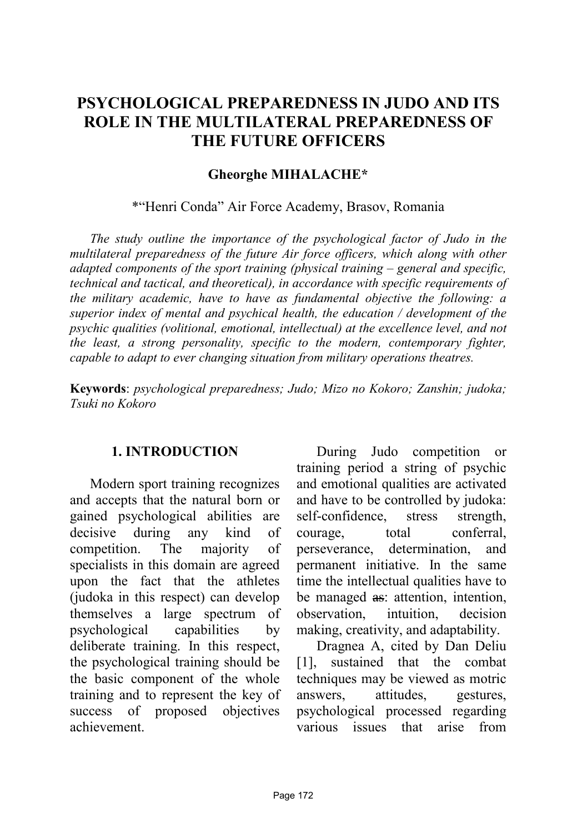# **PSYCHOLOGICAL PREPAREDNESS IN JUDO AND ITS ROLE IN THE MULTILATERAL PREPAREDNESS OF THE FUTURE OFFICERS**

#### **Gheorghe MIHALACHE\***

\*"Henri Conda" Air Force Academy, Brasov, Romania

*The study outline the importance of the psychological factor of Judo in the multilateral preparedness of the future Air force officers, which along with other adapted components of the sport training (physical training – general and specific, technical and tactical, and theoretical), in accordance with specific requirements of the military academic, have to have as fundamental objective the following: a superior index of mental and psychical health, the education / development of the psychic qualities (volitional, emotional, intellectual) at the excellence level, and not the least, a strong personality, specific to the modern, contemporary fighter, capable to adapt to ever changing situation from military operations theatres.*

**Keywords**: *psychological preparedness; Judo; Mizo no Kokoro; Zanshin; judoka; Tsuki no Kokoro*

#### **1. INTRODUCTION**

Modern sport training recognizes and accepts that the natural born or gained psychological abilities are decisive during any kind of competition. The majority of specialists in this domain are agreed upon the fact that the athletes (judoka in this respect) can develop themselves a large spectrum of psychological capabilities by deliberate training. In this respect, the psychological training should be the basic component of the whole training and to represent the key of success of proposed objectives achievement.

During Judo competition or training period a string of psychic and emotional qualities are activated and have to be controlled by judoka: self-confidence, stress strength, courage, total conferral, perseverance, determination, and permanent initiative. In the same time the intellectual qualities have to be managed as: attention, intention, observation, intuition, decision making, creativity, and adaptability.

Dragnea A, cited by Dan Deliu [1], sustained that the combat techniques may be viewed as motric answers, attitudes, gestures, psychological processed regarding various issues that arise from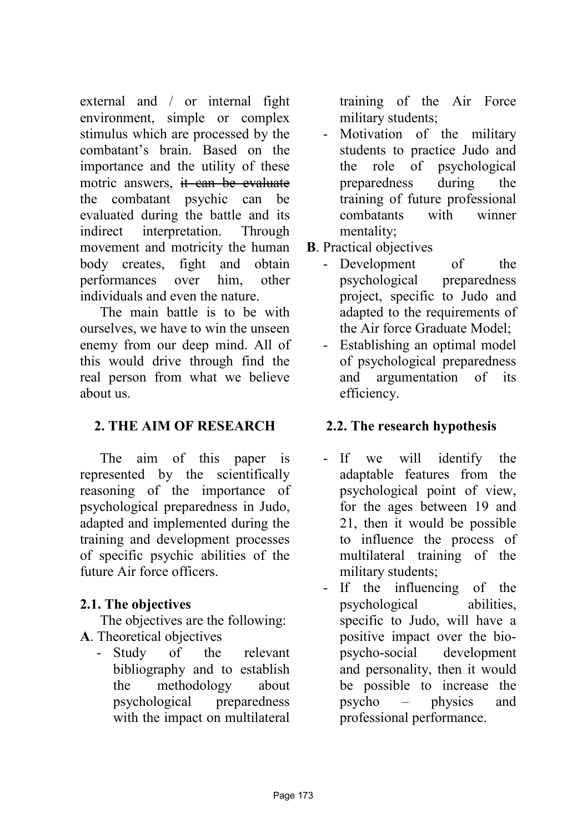external and / or internal fight environment, simple or complex stimulus which are processed by the combatant's brain. Based on the importance and the utility of these motric answers, it can be evaluate the combatant psychic can be evaluated during the battle and its indirect interpretation. Through movement and motricity the human body creates, fight and obtain performances over him, other individuals and even the nature.

The main battle is to be with ourselves, we have to win the unseen enemy from our deep mind. All of this would drive through find the real person from what we believe about us.

# **2. THE AIM OF RESEARCH**

The aim of this paper is represented by the scientifically reasoning of the importance of psychological preparedness in Judo, adapted and implemented during the training and development processes of specific psychic abilities of the future Air force officers.

# **2.1. The objectives**

The objectives are the following: **A**. Theoretical objectives

- Study of the relevant bibliography and to establish the methodology about psychological preparedness with the impact on multilateral training of the Air Force military students;

- Motivation of the military students to practice Judo and the role of psychological preparedness during the training of future professional combatants with winner mentality;
- **B**. Practical objectives
	- Development of the psychological preparedness project, specific to Judo and adapted to the requirements of the Air force Graduate Model;
	- Establishing an optimal model of psychological preparedness and argumentation of its efficiency.

# **2.2. The research hypothesis**

- If we will identify the adaptable features from the psychological point of view, for the ages between 19 and 21, then it would be possible to influence the process of multilateral training of the military students;
- If the influencing of the psychological abilities, specific to Judo, will have a positive impact over the biopsycho-social development and personality, then it would be possible to increase the psycho – physics and professional performance.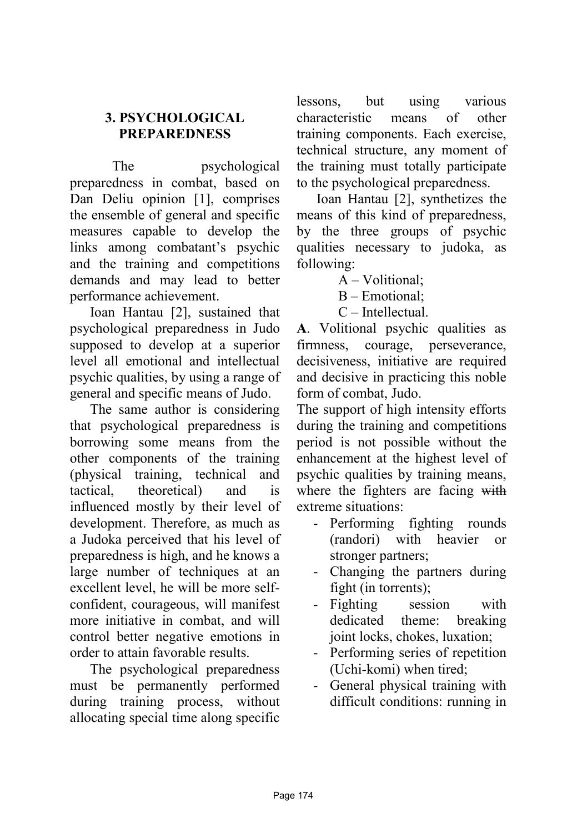## **3. PSYCHOLOGICAL PREPAREDNESS**

The psychological preparedness in combat, based on Dan Deliu opinion [1], comprises the ensemble of general and specific measures capable to develop the links among combatant's psychic and the training and competitions demands and may lead to better performance achievement.

Ioan Hantau [2], sustained that psychological preparedness in Judo supposed to develop at a superior level all emotional and intellectual psychic qualities, by using a range of general and specific means of Judo.

The same author is considering that psychological preparedness is borrowing some means from the other components of the training (physical training, technical and tactical, theoretical) and is influenced mostly by their level of development. Therefore, as much as a Judoka perceived that his level of preparedness is high, and he knows a large number of techniques at an excellent level, he will be more selfconfident, courageous, will manifest more initiative in combat, and will control better negative emotions in order to attain favorable results.

The psychological preparedness must be permanently performed during training process, without allocating special time along specific lessons, but using various characteristic means of other training components. Each exercise, technical structure, any moment of the training must totally participate to the psychological preparedness.

Ioan Hantau [2], synthetizes the means of this kind of preparedness, by the three groups of psychic qualities necessary to judoka, as following:

A – Volitional;

B – Emotional;

C – Intellectual.

**A**. Volitional psychic qualities as firmness, courage, perseverance, decisiveness, initiative are required and decisive in practicing this noble form of combat, Judo.

The support of high intensity efforts during the training and competitions period is not possible without the enhancement at the highest level of psychic qualities by training means, where the fighters are facing with extreme situations:

- Performing fighting rounds (randori) with heavier or stronger partners;
- Changing the partners during fight (in torrents);
- Fighting session with dedicated theme: breaking joint locks, chokes, luxation;
- Performing series of repetition (Uchi-komi) when tired;
- General physical training with difficult conditions: running in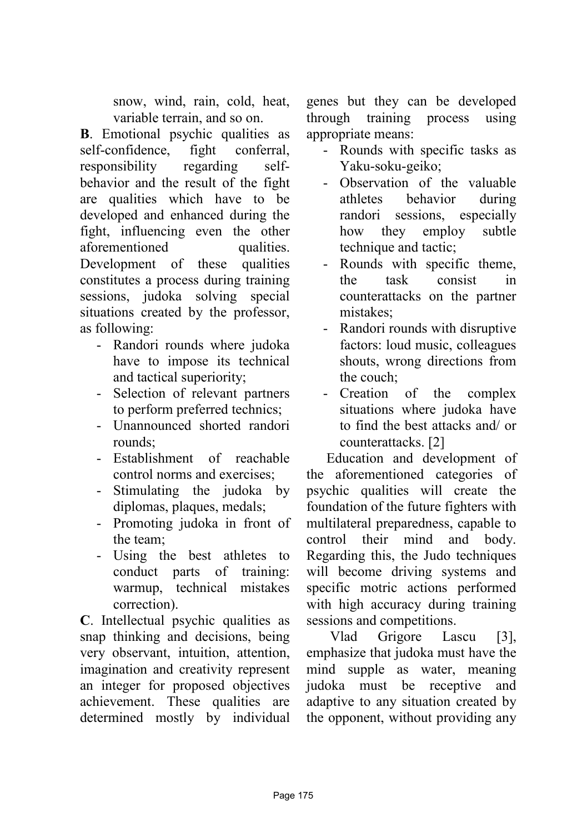snow, wind, rain, cold, heat, variable terrain, and so on.

**B**. Emotional psychic qualities as self-confidence, fight conferral, responsibility regarding selfbehavior and the result of the fight are qualities which have to be developed and enhanced during the fight, influencing even the other aforementioned qualities. Development of these qualities constitutes a process during training sessions, judoka solving special situations created by the professor, as following:

- Randori rounds where judoka have to impose its technical and tactical superiority;
- Selection of relevant partners to perform preferred technics;
- Unannounced shorted randori rounds;
- Establishment of reachable control norms and exercises;
- Stimulating the judoka by diplomas, plaques, medals;
- Promoting judoka in front of the team;
- Using the best athletes to conduct parts of training: warmup, technical mistakes correction).

**C**. Intellectual psychic qualities as snap thinking and decisions, being very observant, intuition, attention, imagination and creativity represent an integer for proposed objectives achievement. These qualities are determined mostly by individual genes but they can be developed through training process using appropriate means:

- Rounds with specific tasks as Yaku-soku-geiko;
- Observation of the valuable athletes behavior during randori sessions, especially how they employ subtle technique and tactic;
- Rounds with specific theme, the task consist in counterattacks on the partner mistakes;
- Randori rounds with disruptive factors: loud music, colleagues shouts, wrong directions from the couch;
- Creation of the complex situations where judoka have to find the best attacks and/ or counterattacks. [2]

Education and development of the aforementioned categories of psychic qualities will create the foundation of the future fighters with multilateral preparedness, capable to control their mind and body. Regarding this, the Judo techniques will become driving systems and specific motric actions performed with high accuracy during training sessions and competitions.

Vlad Grigore Lascu [3], emphasize that judoka must have the mind supple as water, meaning judoka must be receptive and adaptive to any situation created by the opponent, without providing any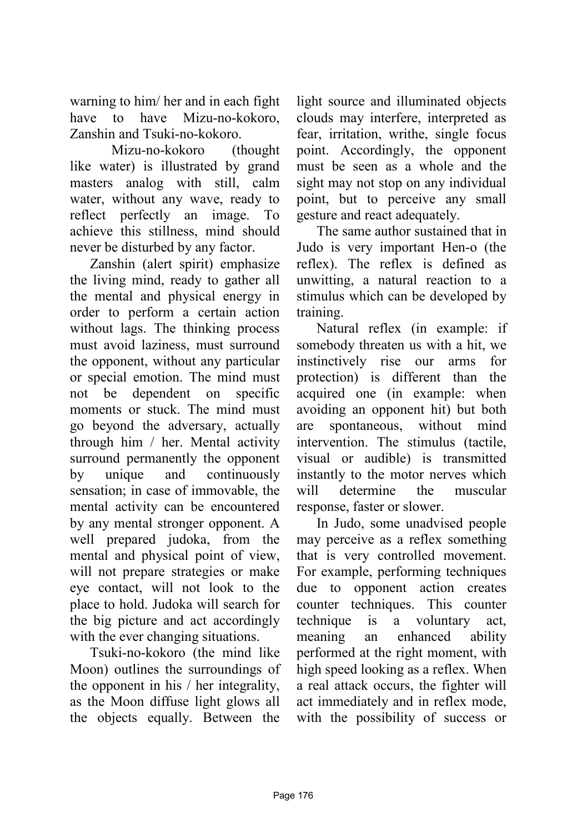warning to him/ her and in each fight have to have Mizu-no-kokoro, Zanshin and Tsuki-no-kokoro.

Mizu-no-kokoro (thought like water) is illustrated by grand masters analog with still, calm water, without any wave, ready to reflect perfectly an image. To achieve this stillness, mind should never be disturbed by any factor.

Zanshin (alert spirit) emphasize the living mind, ready to gather all the mental and physical energy in order to perform a certain action without lags. The thinking process must avoid laziness, must surround the opponent, without any particular or special emotion. The mind must not be dependent on specific moments or stuck. The mind must go beyond the adversary, actually through him / her. Mental activity surround permanently the opponent by unique and continuously sensation; in case of immovable, the mental activity can be encountered by any mental stronger opponent. A well prepared judoka, from the mental and physical point of view, will not prepare strategies or make eye contact, will not look to the place to hold. Judoka will search for the big picture and act accordingly with the ever changing situations.

Tsuki-no-kokoro (the mind like Moon) outlines the surroundings of the opponent in his / her integrality, as the Moon diffuse light glows all the objects equally. Between the

light source and illuminated objects clouds may interfere, interpreted as fear, irritation, writhe, single focus point. Accordingly, the opponent must be seen as a whole and the sight may not stop on any individual point, but to perceive any small gesture and react adequately.

The same author sustained that in Judo is very important Hen-o (the reflex). The reflex is defined as unwitting, a natural reaction to a stimulus which can be developed by training.

Natural reflex (in example: if somebody threaten us with a hit, we instinctively rise our arms for protection) is different than the acquired one (in example: when avoiding an opponent hit) but both are spontaneous, without mind intervention. The stimulus (tactile, visual or audible) is transmitted instantly to the motor nerves which will determine the muscular response, faster or slower.

In Judo, some unadvised people may perceive as a reflex something that is very controlled movement. For example, performing techniques due to opponent action creates counter techniques. This counter technique is a voluntary act, meaning an enhanced ability performed at the right moment, with high speed looking as a reflex. When a real attack occurs, the fighter will act immediately and in reflex mode, with the possibility of success or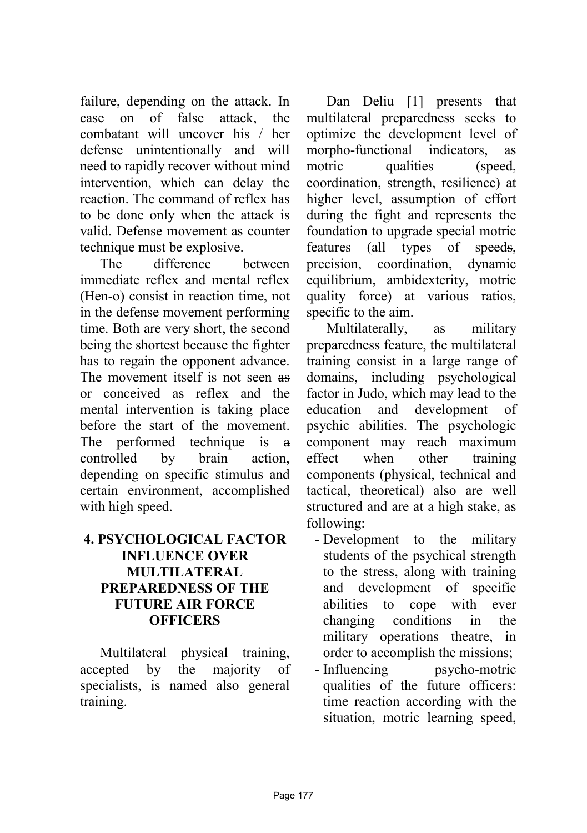failure, depending on the attack. In case on of false attack, the combatant will uncover his / her defense unintentionally and will need to rapidly recover without mind intervention, which can delay the reaction. The command of reflex has to be done only when the attack is valid. Defense movement as counter technique must be explosive.

The difference between immediate reflex and mental reflex (Hen-o) consist in reaction time, not in the defense movement performing time. Both are very short, the second being the shortest because the fighter has to regain the opponent advance. The movement itself is not seen as or conceived as reflex and the mental intervention is taking place before the start of the movement. The performed technique is a controlled by brain action, depending on specific stimulus and certain environment, accomplished with high speed.

### **4. PSYCHOLOGICAL FACTOR INFLUENCE OVER MULTILATERAL PREPAREDNESS OF THE FUTURE AIR FORCE OFFICERS**

Multilateral physical training, accepted by the majority of specialists, is named also general training.

Dan Deliu [1] presents that multilateral preparedness seeks to optimize the development level of morpho-functional indicators, as motric qualities (speed, coordination, strength, resilience) at higher level, assumption of effort during the fight and represents the foundation to upgrade special motric features (all types of speeds, precision, coordination, dynamic equilibrium, ambidexterity, motric quality force) at various ratios, specific to the aim.

Multilaterally, as military preparedness feature, the multilateral training consist in a large range of domains, including psychological factor in Judo, which may lead to the education and development of psychic abilities. The psychologic component may reach maximum effect when other training components (physical, technical and tactical, theoretical) also are well structured and are at a high stake, as following:

- Development to the military students of the psychical strength to the stress, along with training and development of specific abilities to cope with ever changing conditions in the military operations theatre, in order to accomplish the missions;
- Influencing psycho-motric qualities of the future officers: time reaction according with the situation, motric learning speed,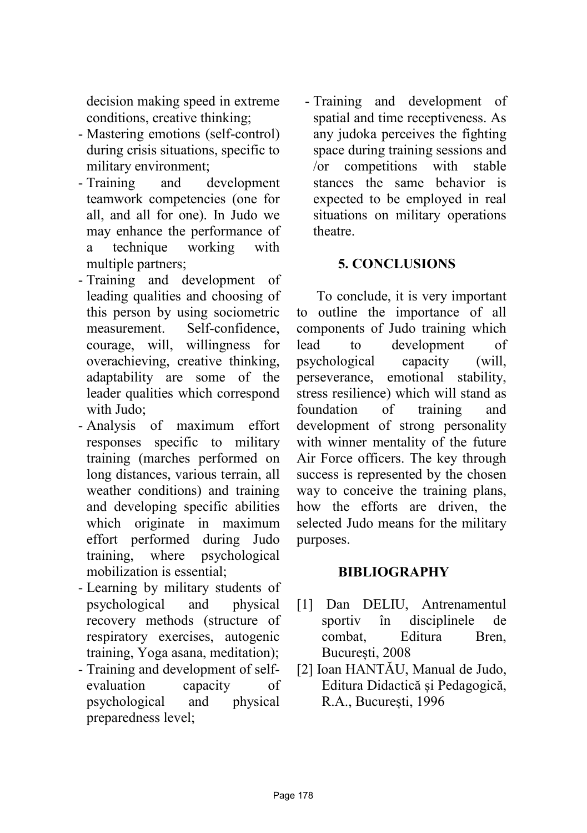decision making speed in extreme conditions, creative thinking;

- Mastering emotions (self-control) during crisis situations, specific to military environment;
- Training and development teamwork competencies (one for all, and all for one). In Judo we may enhance the performance of a technique working with multiple partners;
- Training and development of leading qualities and choosing of this person by using sociometric measurement. Self-confidence, courage, will, willingness for overachieving, creative thinking, adaptability are some of the leader qualities which correspond with Judo;
- Analysis of maximum effort responses specific to military training (marches performed on long distances, various terrain, all weather conditions) and training and developing specific abilities which originate in maximum effort performed during Judo training, where psychological mobilization is essential;
- Learning by military students of psychological and physical recovery methods (structure of respiratory exercises, autogenic training, Yoga asana, meditation);
- Training and development of selfevaluation capacity of psychological and physical preparedness level;

- Training and development of spatial and time receptiveness. As any judoka perceives the fighting space during training sessions and /or competitions with stable stances the same behavior is expected to be employed in real situations on military operations theatre.

### **5. CONCLUSIONS**

To conclude, it is very important to outline the importance of all components of Judo training which lead to development of psychological capacity (will, perseverance, emotional stability, stress resilience) which will stand as foundation of training and development of strong personality with winner mentality of the future Air Force officers. The key through success is represented by the chosen way to conceive the training plans, how the efforts are driven, the selected Judo means for the military purposes.

### **BIBLIOGRAPHY**

- [1] Dan DELIU, Antrenamentul sportiv în disciplinele de combat, Editura Bren, București, 2008
- [2] Ioan HANTĂU, Manual de Judo, Editura Didactică și Pedagogică, R.A., București, 1996